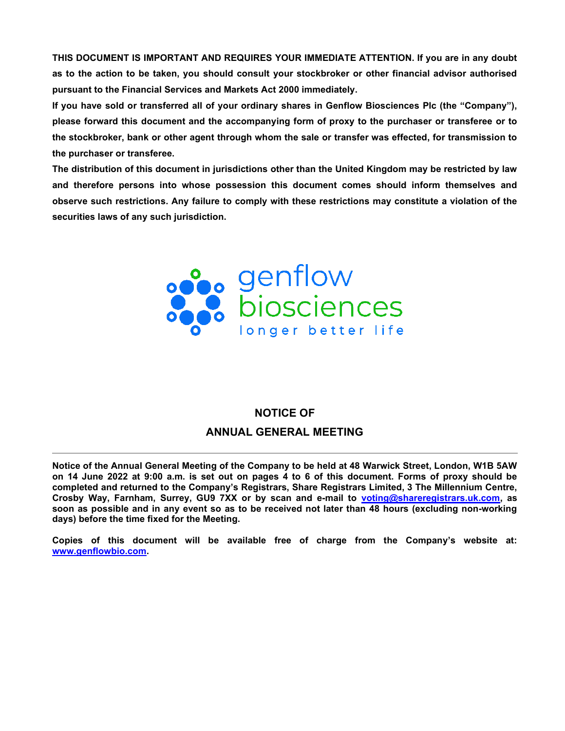THIS DOCUMENT IS IMPORTANT AND REQUIRES YOUR IMMEDIATE ATTENTION. If you are in any doubt as to the action to be taken, you should consult your stockbroker or other financial advisor authorised pursuant to the Financial Services and Markets Act 2000 immediately.

If you have sold or transferred all of your ordinary shares in Genflow Biosciences Plc (the "Company"), please forward this document and the accompanying form of proxy to the purchaser or transferee or to the stockbroker, bank or other agent through whom the sale or transfer was effected, for transmission to the purchaser or transferee.

The distribution of this document in jurisdictions other than the United Kingdom may be restricted by law and therefore persons into whose possession this document comes should inform themselves and observe such restrictions. Any failure to comply with these restrictions may constitute a violation of the securities laws of any such jurisdiction.



# NOTICE OF ANNUAL GENERAL MEETING

Notice of the Annual General Meeting of the Company to be held at 48 Warwick Street, London, W1B 5AW on 14 June 2022 at 9:00 a.m. is set out on pages 4 to 6 of this document. Forms of proxy should be completed and returned to the Company's Registrars, Share Registrars Limited, 3 The Millennium Centre, Crosby Way, Farnham, Surrey, GU9 7XX or by scan and e-mail to voting@shareregistrars.uk.com, as soon as possible and in any event so as to be received not later than 48 hours (excluding non-working days) before the time fixed for the Meeting.

Copies of this document will be available free of charge from the Company's website at: www.genflowbio.com.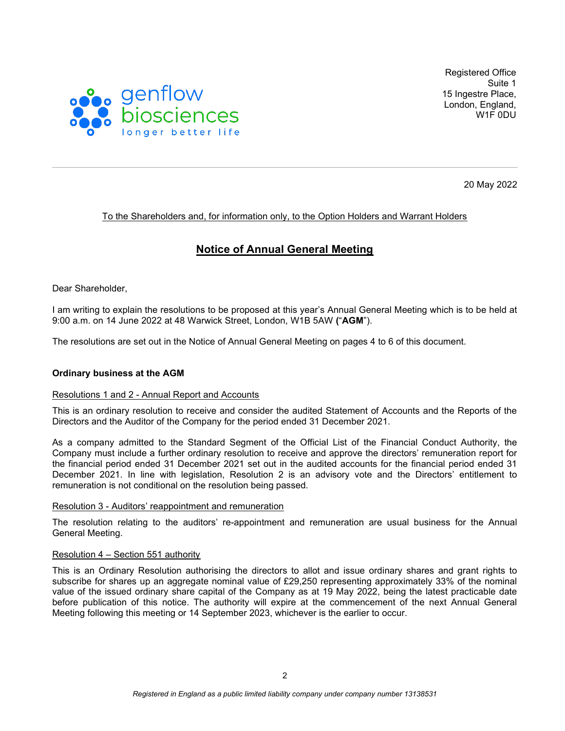

Registered Office Suite 1 15 Ingestre Place, London, England, W1F 0DU

20 May 2022

# To the Shareholders and, for information only, to the Option Holders and Warrant Holders

# Notice of Annual General Meeting

Dear Shareholder,

I am writing to explain the resolutions to be proposed at this year's Annual General Meeting which is to be held at 9:00 a.m. on 14 June 2022 at 48 Warwick Street, London, W1B 5AW ("AGM").

The resolutions are set out in the Notice of Annual General Meeting on pages 4 to 6 of this document.

# Ordinary business at the AGM

## Resolutions 1 and 2 - Annual Report and Accounts

This is an ordinary resolution to receive and consider the audited Statement of Accounts and the Reports of the Directors and the Auditor of the Company for the period ended 31 December 2021.

As a company admitted to the Standard Segment of the Official List of the Financial Conduct Authority, the Company must include a further ordinary resolution to receive and approve the directors' remuneration report for the financial period ended 31 December 2021 set out in the audited accounts for the financial period ended 31 December 2021. In line with legislation, Resolution 2 is an advisory vote and the Directors' entitlement to remuneration is not conditional on the resolution being passed.

## Resolution 3 - Auditors' reappointment and remuneration

The resolution relating to the auditors' re-appointment and remuneration are usual business for the Annual General Meeting.

## Resolution 4 – Section 551 authority

This is an Ordinary Resolution authorising the directors to allot and issue ordinary shares and grant rights to subscribe for shares up an aggregate nominal value of £29,250 representing approximately 33% of the nominal value of the issued ordinary share capital of the Company as at 19 May 2022, being the latest practicable date before publication of this notice. The authority will expire at the commencement of the next Annual General Meeting following this meeting or 14 September 2023, whichever is the earlier to occur.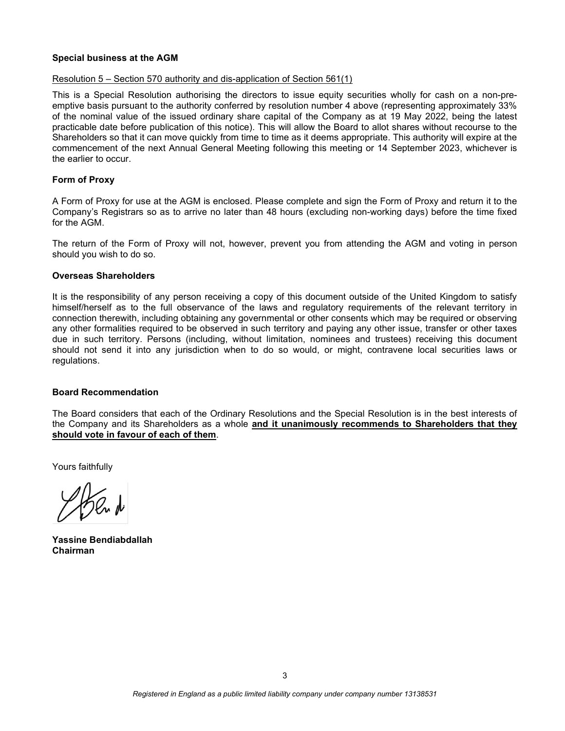# Special business at the AGM

## Resolution 5 – Section 570 authority and dis-application of Section 561(1)

This is a Special Resolution authorising the directors to issue equity securities wholly for cash on a non-preemptive basis pursuant to the authority conferred by resolution number 4 above (representing approximately 33% of the nominal value of the issued ordinary share capital of the Company as at 19 May 2022, being the latest practicable date before publication of this notice). This will allow the Board to allot shares without recourse to the Shareholders so that it can move quickly from time to time as it deems appropriate. This authority will expire at the commencement of the next Annual General Meeting following this meeting or 14 September 2023, whichever is the earlier to occur.

# Form of Proxy

A Form of Proxy for use at the AGM is enclosed. Please complete and sign the Form of Proxy and return it to the Company's Registrars so as to arrive no later than 48 hours (excluding non-working days) before the time fixed for the AGM.

The return of the Form of Proxy will not, however, prevent you from attending the AGM and voting in person should you wish to do so.

## Overseas Shareholders

It is the responsibility of any person receiving a copy of this document outside of the United Kingdom to satisfy himself/herself as to the full observance of the laws and regulatory requirements of the relevant territory in connection therewith, including obtaining any governmental or other consents which may be required or observing any other formalities required to be observed in such territory and paying any other issue, transfer or other taxes due in such territory. Persons (including, without limitation, nominees and trustees) receiving this document should not send it into any jurisdiction when to do so would, or might, contravene local securities laws or regulations.

## Board Recommendation

The Board considers that each of the Ordinary Resolutions and the Special Resolution is in the best interests of the Company and its Shareholders as a whole and it unanimously recommends to Shareholders that they should vote in favour of each of them.

Yours faithfully

Yassine Bendiabdallah Chairman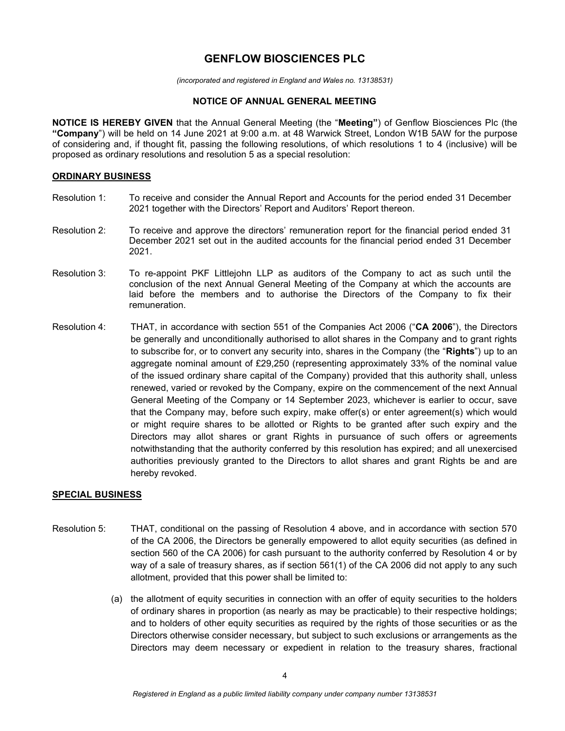# GENFLOW BIOSCIENCES PLC

(incorporated and registered in England and Wales no. 13138531)

# NOTICE OF ANNUAL GENERAL MEETING

NOTICE IS HEREBY GIVEN that the Annual General Meeting (the "Meeting") of Genflow Biosciences Plc (the "Company") will be held on 14 June 2021 at 9:00 a.m. at 48 Warwick Street, London W1B 5AW for the purpose of considering and, if thought fit, passing the following resolutions, of which resolutions 1 to 4 (inclusive) will be proposed as ordinary resolutions and resolution 5 as a special resolution:

# ORDINARY BUSINESS

- Resolution 1: To receive and consider the Annual Report and Accounts for the period ended 31 December 2021 together with the Directors' Report and Auditors' Report thereon.
- Resolution 2: To receive and approve the directors' remuneration report for the financial period ended 31 December 2021 set out in the audited accounts for the financial period ended 31 December 2021.
- Resolution 3: To re-appoint PKF Littlejohn LLP as auditors of the Company to act as such until the conclusion of the next Annual General Meeting of the Company at which the accounts are laid before the members and to authorise the Directors of the Company to fix their remuneration.
- Resolution 4: THAT, in accordance with section 551 of the Companies Act 2006 ("CA 2006"), the Directors be generally and unconditionally authorised to allot shares in the Company and to grant rights to subscribe for, or to convert any security into, shares in the Company (the "Rights") up to an aggregate nominal amount of £29,250 (representing approximately 33% of the nominal value of the issued ordinary share capital of the Company) provided that this authority shall, unless renewed, varied or revoked by the Company, expire on the commencement of the next Annual General Meeting of the Company or 14 September 2023, whichever is earlier to occur, save that the Company may, before such expiry, make offer(s) or enter agreement(s) which would or might require shares to be allotted or Rights to be granted after such expiry and the Directors may allot shares or grant Rights in pursuance of such offers or agreements notwithstanding that the authority conferred by this resolution has expired; and all unexercised authorities previously granted to the Directors to allot shares and grant Rights be and are hereby revoked.

## SPECIAL BUSINESS

- Resolution 5: THAT, conditional on the passing of Resolution 4 above, and in accordance with section 570 of the CA 2006, the Directors be generally empowered to allot equity securities (as defined in section 560 of the CA 2006) for cash pursuant to the authority conferred by Resolution 4 or by way of a sale of treasury shares, as if section 561(1) of the CA 2006 did not apply to any such allotment, provided that this power shall be limited to:
	- (a) the allotment of equity securities in connection with an offer of equity securities to the holders of ordinary shares in proportion (as nearly as may be practicable) to their respective holdings; and to holders of other equity securities as required by the rights of those securities or as the Directors otherwise consider necessary, but subject to such exclusions or arrangements as the Directors may deem necessary or expedient in relation to the treasury shares, fractional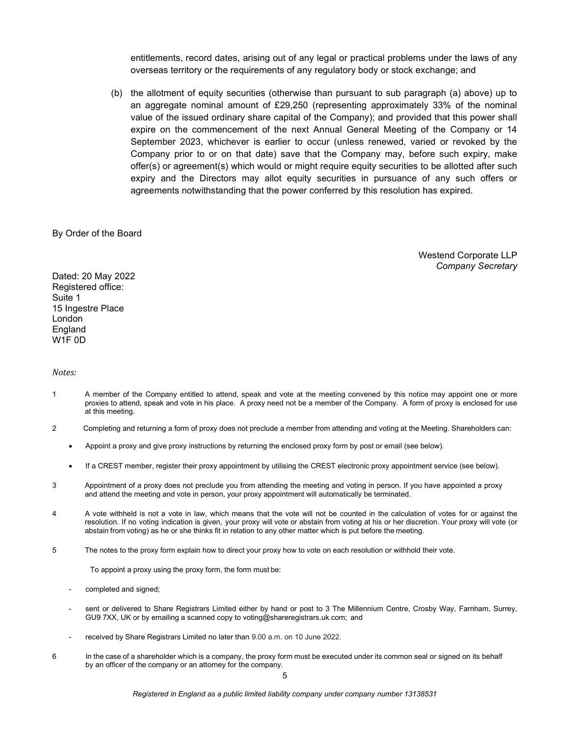entitlements, record dates, arising out of any legal or practical problems under the laws of any overseas territory or the requirements of any regulatory body or stock exchange; and

(b) the allotment of equity securities (otherwise than pursuant to sub paragraph (a) above) up to an aggregate nominal amount of £29,250 (representing approximately 33% of the nominal value of the issued ordinary share capital of the Company); and provided that this power shall expire on the commencement of the next Annual General Meeting of the Company or 14 September 2023, whichever is earlier to occur (unless renewed, varied or revoked by the Company prior to or on that date) save that the Company may, before such expiry, make offer(s) or agreement(s) which would or might require equity securities to be allotted after such expiry and the Directors may allot equity securities in pursuance of any such offers or agreements notwithstanding that the power conferred by this resolution has expired.

#### By Order of the Board

Westend Corporate LLP Company Secretary

Dated: 20 May 2022 Registered office: Suite 1 15 Ingestre Place London England W1F 0D

#### Notes:

- 1 A member of the Company entitled to attend, speak and vote at the meeting convened by this notice may appoint one or more proxies to attend, speak and vote in his place. A proxy need not be a member of the Company. A form of proxy is enclosed for use at this meeting.
- 2 Completing and returning a form of proxy does not preclude a member from attending and voting at the Meeting. Shareholders can:
	- Appoint a proxy and give proxy instructions by returning the enclosed proxy form by post or email (see below).
	- If a CREST member, register their proxy appointment by utilising the CREST electronic proxy appointment service (see below).
- 3 Appointment of a proxy does not preclude you from attending the meeting and voting in person. If you have appointed a proxy and attend the meeting and vote in person, your proxy appointment will automatically be terminated.
- 4 A vote withheld is not a vote in law, which means that the vote will not be counted in the calculation of votes for or against the resolution. If no voting indication is given, your proxy will vote or abstain from voting at his or her discretion. Your proxy will vote (or abstain from voting) as he or she thinks fit in relation to any other matter which is put before the meeting.
- 5 The notes to the proxy form explain how to direct your proxy how to vote on each resolution or withhold their vote.

To appoint a proxy using the proxy form, the form must be:

- completed and signed;
- sent or delivered to Share Registrars Limited either by hand or post to 3 The Millennium Centre, Crosby Way, Farnham, Surrey, GU9 7XX, UK or by emailing a scanned copy to voting@shareregistrars.uk.com; and
- received by Share Registrars Limited no later than 9.00 a.m. on 10 June 2022.
- 6 In the case of a shareholder which is a company, the proxy form must be executed under its common seal or signed on its behalf by an officer of the company or an attorney for the company.